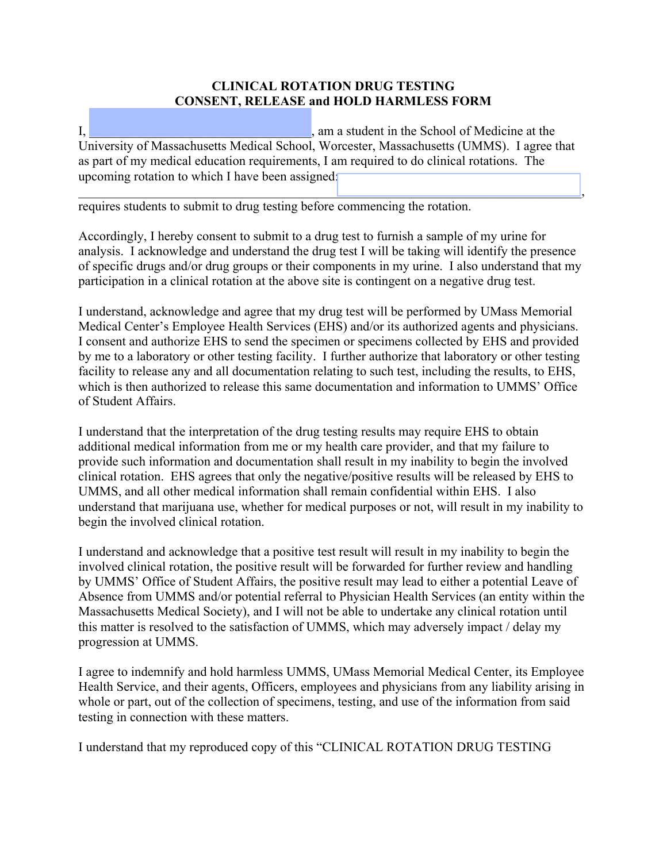## **CLINICAL ROTATION DRUG TESTING CONSENT, RELEASE and HOLD HARMLESS FORM**

 $\overline{I}_1$ ,  $\overline{I}_2$  and  $\overline{I}_3$  am a student in the School of Medicine at the University of Massachusetts Medical School, Worcester, Massachusetts (UMMS). I agree that as part of my medical education requirements, I am required to do clinical rotations. The upcoming rotation to which I have been assigned:  $\Box$  . The contract of the contract of the contract of the contract of the contract of the contract of  $\Box$ 

requires students to submit to drug testing before commencing the rotation.

Accordingly, I hereby consent to submit to a drug test to furnish a sample of my urine for analysis. I acknowledge and understand the drug test I will be taking will identify the presence of specific drugs and/or drug groups or their components in my urine. I also understand that my participation in a clinical rotation at the above site is contingent on a negative drug test.

I understand, acknowledge and agree that my drug test will be performed by UMass Memorial Medical Center's Employee Health Services (EHS) and/or its authorized agents and physicians. I consent and authorize EHS to send the specimen or specimens collected by EHS and provided by me to a laboratory or other testing facility. I further authorize that laboratory or other testing facility to release any and all documentation relating to such test, including the results, to EHS, which is then authorized to release this same documentation and information to UMMS' Office of Student Affairs.

I understand that the interpretation of the drug testing results may require EHS to obtain additional medical information from me or my health care provider, and that my failure to provide such information and documentation shall result in my inability to begin the involved clinical rotation. EHS agrees that only the negative/positive results will be released by EHS to UMMS, and all other medical information shall remain confidential within EHS. I also understand that marijuana use, whether for medical purposes or not, will result in my inability to begin the involved clinical rotation.

I understand and acknowledge that a positive test result will result in my inability to begin the involved clinical rotation, the positive result will be forwarded for further review and handling by UMMS' Office of Student Affairs, the positive result may lead to either a potential Leave of Absence from UMMS and/or potential referral to Physician Health Services (an entity within the Massachusetts Medical Society), and I will not be able to undertake any clinical rotation until this matter is resolved to the satisfaction of UMMS, which may adversely impact / delay my progression at UMMS.

I agree to indemnify and hold harmless UMMS, UMass Memorial Medical Center, its Employee Health Service, and their agents, Officers, employees and physicians from any liability arising in whole or part, out of the collection of specimens, testing, and use of the information from said testing in connection with these matters.

I understand that my reproduced copy of this "CLINICAL ROTATION DRUG TESTING